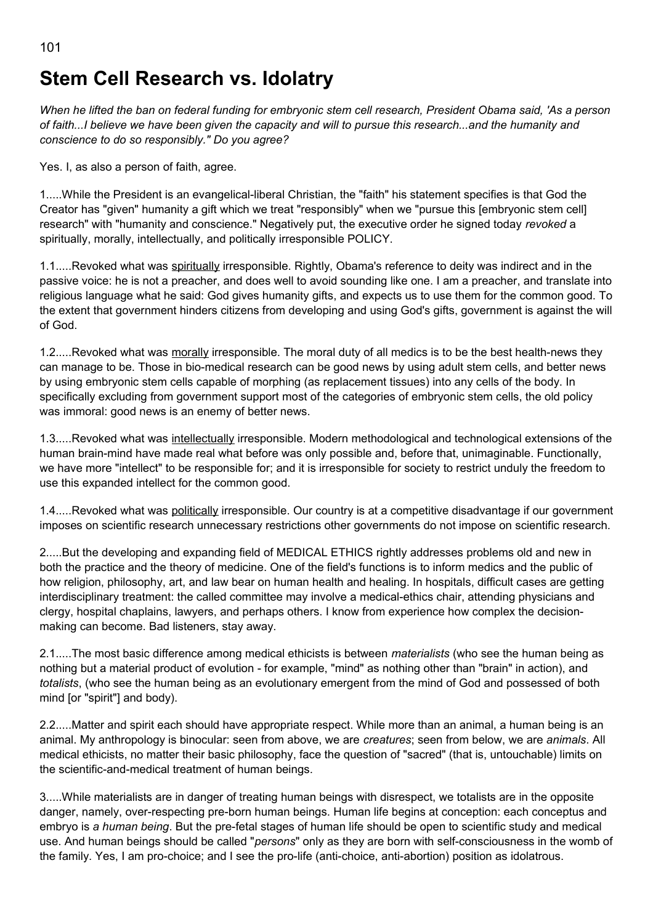## **Stem Cell Research vs. Idolatry**

*When he lifted the ban on federal funding for embryonic stem cell research, President Obama said, 'As a person of faith...I believe we have been given the capacity and will to pursue this research...and the humanity and conscience to do so responsibly." Do you agree?*

Yes. I, as also a person of faith, agree.

1.....While the President is an evangelical-liberal Christian, the "faith" his statement specifies is that God the Creator has "given" humanity a gift which we treat "responsibly" when we "pursue this [embryonic stem cell] research" with "humanity and conscience." Negatively put, the executive order he signed today *revoked* a spiritually, morally, intellectually, and politically irresponsible POLICY.

1.1.....Revoked what was spiritually irresponsible. Rightly, Obama's reference to deity was indirect and in the passive voice: he is not a preacher, and does well to avoid sounding like one. I am a preacher, and translate into religious language what he said: God gives humanity gifts, and expects us to use them for the common good. To the extent that government hinders citizens from developing and using God's gifts, government is against the will of God.

1.2.....Revoked what was morally irresponsible. The moral duty of all medics is to be the best health-news they can manage to be. Those in bio-medical research can be good news by using adult stem cells, and better news by using embryonic stem cells capable of morphing (as replacement tissues) into any cells of the body. In specifically excluding from government support most of the categories of embryonic stem cells, the old policy was immoral: good news is an enemy of better news.

1.3.....Revoked what was intellectually irresponsible. Modern methodological and technological extensions of the human brain-mind have made real what before was only possible and, before that, unimaginable. Functionally, we have more "intellect" to be responsible for; and it is irresponsible for society to restrict unduly the freedom to use this expanded intellect for the common good.

1.4.....Revoked what was politically irresponsible. Our country is at a competitive disadvantage if our government imposes on scientific research unnecessary restrictions other governments do not impose on scientific research.

2.....But the developing and expanding field of MEDICAL ETHICS rightly addresses problems old and new in both the practice and the theory of medicine. One of the field's functions is to inform medics and the public of how religion, philosophy, art, and law bear on human health and healing. In hospitals, difficult cases are getting interdisciplinary treatment: the called committee may involve a medical-ethics chair, attending physicians and clergy, hospital chaplains, lawyers, and perhaps others. I know from experience how complex the decisionmaking can become. Bad listeners, stay away.

2.1.....The most basic difference among medical ethicists is between *materialists* (who see the human being as nothing but a material product of evolution - for example, "mind" as nothing other than "brain" in action), and *totalists*, (who see the human being as an evolutionary emergent from the mind of God and possessed of both mind [or "spirit"] and body).

2.2.....Matter and spirit each should have appropriate respect. While more than an animal, a human being is an animal. My anthropology is binocular: seen from above, we are *creatures*; seen from below, we are *animals*. All medical ethicists, no matter their basic philosophy, face the question of "sacred" (that is, untouchable) limits on the scientific-and-medical treatment of human beings.

3.....While materialists are in danger of treating human beings with disrespect, we totalists are in the opposite danger, namely, over-respecting pre-born human beings. Human life begins at conception: each conceptus and embryo is *a human being*. But the pre-fetal stages of human life should be open to scientific study and medical use. And human beings should be called "*persons*" only as they are born with self-consciousness in the womb of the family. Yes, I am pro-choice; and I see the pro-life (anti-choice, anti-abortion) position as idolatrous.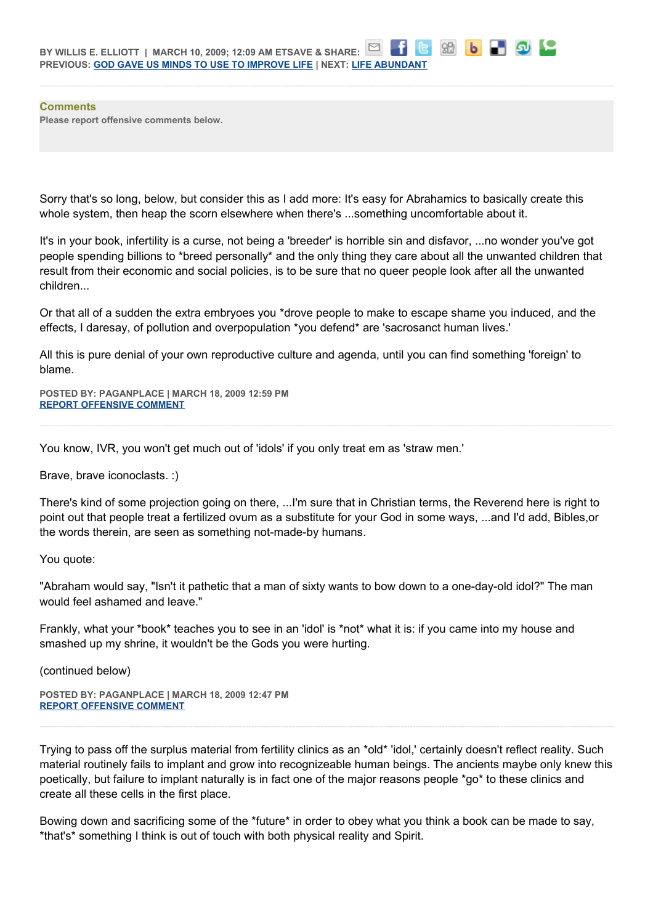**Comments Please report offensive comments below.**

Sorry that's so long, below, but consider this as I add more: It's easy for Abrahamics to basically create this whole system, then heap the scorn elsewhere when there's ...something uncomfortable about it.

8日 16

**LAC** 

It's in your book, infertility is a curse, not being a 'breeder' is horrible sin and disfavor, ...no wonder you've got people spending billions to \*breed personally\* and the only thing they care about all the unwanted children that result from their economic and social policies, is to be sure that no queer people look after all the unwanted children...

Or that all of a sudden the extra embryoes you \*drove people to make to escape shame you induced, and the effects, I daresay, of pollution and overpopulation \*you defend\* are 'sacrosanct human lives.'

All this is pure denial of your own reproductive culture and agenda, until you can find something 'foreign' to blame.

**POSTED BY: PAGANPLACE | MARCH 18, 2009 12:59 PM [REPORT OFFENSIVE COMMENT](mailto:blogs@washingtonpost.com?subject=On%20Faith%20Panelists%20Blog%20%20%7C%20%20Paganplace%20%20%7C%20%20Stem%20Cell%20Research%20vs.%20Idolatry%20%20%7C%20%204653470&body=%0D%0D%0D%0D%0D================%0D?__mode=view%26_type=comment%26id=4653470%26blog_id=618)**

You know, IVR, you won't get much out of 'idols' if you only treat em as 'straw men.'

Brave, brave iconoclasts. :)

There's kind of some projection going on there, ...I'm sure that in Christian terms, the Reverend here is right to point out that people treat a fertilized ovum as a substitute for your God in some ways, ...and I'd add, Bibles,or the words therein, are seen as something not-made-by humans.

You quote:

"Abraham would say, "Isn't it pathetic that a man of sixty wants to bow down to a one-day-old idol?" The man would feel ashamed and leave."

Frankly, what your \*book\* teaches you to see in an 'idol' is \*not\* what it is: if you came into my house and smashed up my shrine, it wouldn't be the Gods you were hurting.

(continued below)

**POSTED BY: PAGANPLACE | MARCH 18, 2009 12:47 PM [REPORT OFFENSIVE COMMENT](mailto:blogs@washingtonpost.com?subject=On%20Faith%20Panelists%20Blog%20%20%7C%20%20Paganplace%20%20%7C%20%20Stem%20Cell%20Research%20vs.%20Idolatry%20%20%7C%20%204653465&body=%0D%0D%0D%0D%0D================%0D?__mode=view%26_type=comment%26id=4653465%26blog_id=618)**

Trying to pass off the surplus material from fertility clinics as an \*old\* 'idol,' certainly doesn't reflect reality. Such material routinely fails to implant and grow into recognizeable human beings. The ancients maybe only knew this poetically, but failure to implant naturally is in fact one of the major reasons people \*go\* to these clinics and create all these cells in the first place.

Bowing down and sacrificing some of the \*future\* in order to obey what you think a book can be made to say, \*that's\* something I think is out of touch with both physical reality and Spirit.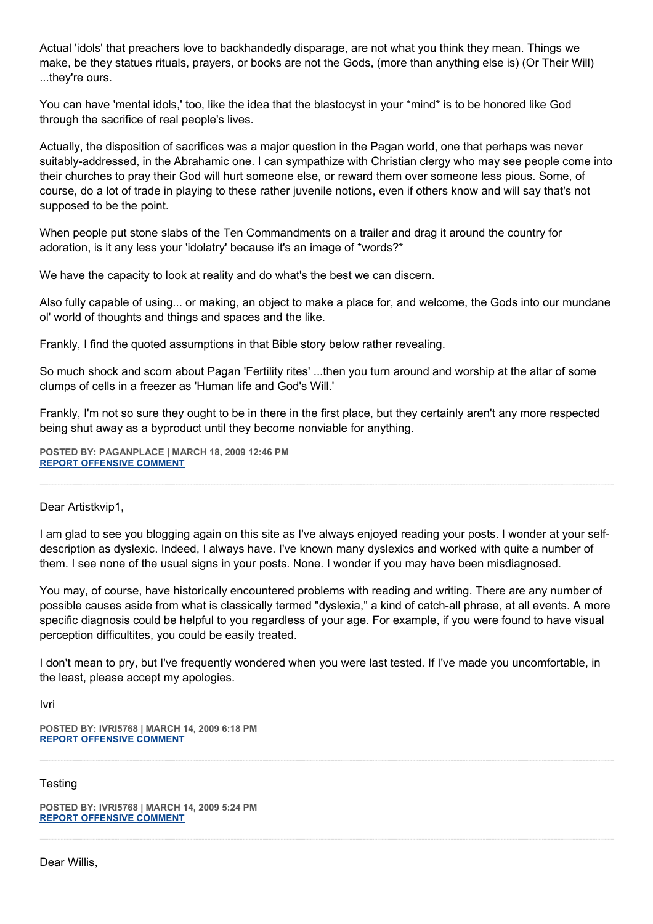Actual 'idols' that preachers love to backhandedly disparage, are not what you think they mean. Things we make, be they statues rituals, prayers, or books are not the Gods, (more than anything else is) (Or Their Will) ...they're ours.

You can have 'mental idols,' too, like the idea that the blastocyst in your \*mind\* is to be honored like God through the sacrifice of real people's lives.

Actually, the disposition of sacrifices was a major question in the Pagan world, one that perhaps was never suitably-addressed, in the Abrahamic one. I can sympathize with Christian clergy who may see people come into their churches to pray their God will hurt someone else, or reward them over someone less pious. Some, of course, do a lot of trade in playing to these rather juvenile notions, even if others know and will say that's not supposed to be the point.

When people put stone slabs of the Ten Commandments on a trailer and drag it around the country for adoration, is it any less your 'idolatry' because it's an image of \*words?\*

We have the capacity to look at reality and do what's the best we can discern.

Also fully capable of using... or making, an object to make a place for, and welcome, the Gods into our mundane ol' world of thoughts and things and spaces and the like.

Frankly, I find the quoted assumptions in that Bible story below rather revealing.

So much shock and scorn about Pagan 'Fertility rites' ...then you turn around and worship at the altar of some clumps of cells in a freezer as 'Human life and God's Will.'

Frankly, I'm not so sure they ought to be in there in the first place, but they certainly aren't any more respected being shut away as a byproduct until they become nonviable for anything.

**POSTED BY: PAGANPLACE | MARCH 18, 2009 12:46 PM [REPORT OFFENSIVE COMMENT](mailto:blogs@washingtonpost.com?subject=On%20Faith%20Panelists%20Blog%20%20%7C%20%20Paganplace%20%20%7C%20%20Stem%20Cell%20Research%20vs.%20Idolatry%20%20%7C%20%204653464&body=%0D%0D%0D%0D%0D================%0D?__mode=view%26_type=comment%26id=4653464%26blog_id=618)**

Dear Artistkvip1,

I am glad to see you blogging again on this site as I've always enjoyed reading your posts. I wonder at your selfdescription as dyslexic. Indeed, I always have. I've known many dyslexics and worked with quite a number of them. I see none of the usual signs in your posts. None. I wonder if you may have been misdiagnosed.

You may, of course, have historically encountered problems with reading and writing. There are any number of possible causes aside from what is classically termed "dyslexia," a kind of catch-all phrase, at all events. A more specific diagnosis could be helpful to you regardless of your age. For example, if you were found to have visual perception difficultites, you could be easily treated.

I don't mean to pry, but I've frequently wondered when you were last tested. If I've made you uncomfortable, in the least, please accept my apologies.

Ivri

**POSTED BY: IVRI5768 | MARCH 14, 2009 6:18 PM [REPORT OFFENSIVE COMMENT](mailto:blogs@washingtonpost.com?subject=On%20Faith%20Panelists%20Blog%20%20%7C%20%20ivri5768%20%20%7C%20%20Stem%20Cell%20Research%20vs.%20Idolatry%20%20%7C%20%204652773&body=%0D%0D%0D%0D%0D================%0D?__mode=view%26_type=comment%26id=4652773%26blog_id=618)**

**Testing** 

**POSTED BY: IVRI5768 | MARCH 14, 2009 5:24 PM [REPORT OFFENSIVE COMMENT](mailto:blogs@washingtonpost.com?subject=On%20Faith%20Panelists%20Blog%20%20%7C%20%20ivri5768%20%20%7C%20%20Stem%20Cell%20Research%20vs.%20Idolatry%20%20%7C%20%204652767&body=%0D%0D%0D%0D%0D================%0D?__mode=view%26_type=comment%26id=4652767%26blog_id=618)**

Dear Willis,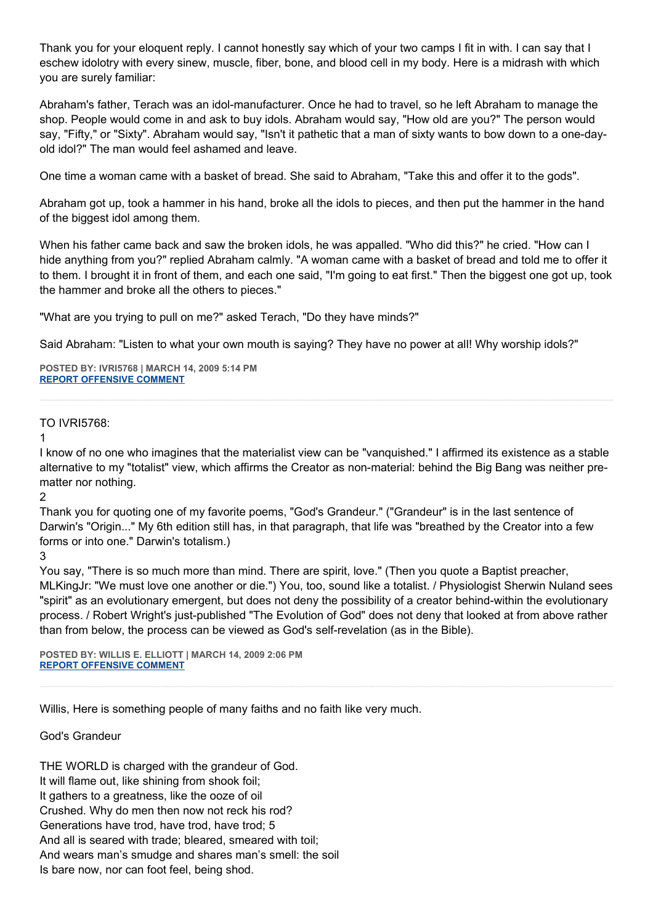Thank you for your eloquent reply. I cannot honestly say which of your two camps I fit in with. I can say that I eschew idolotry with every sinew, muscle, fiber, bone, and blood cell in my body. Here is a midrash with which you are surely familiar:

Abraham's father, Terach was an idol-manufacturer. Once he had to travel, so he left Abraham to manage the shop. People would come in and ask to buy idols. Abraham would say, "How old are you?" The person would say, "Fifty," or "Sixty". Abraham would say, "Isn't it pathetic that a man of sixty wants to bow down to a one-dayold idol?" The man would feel ashamed and leave.

One time a woman came with a basket of bread. She said to Abraham, "Take this and offer it to the gods".

Abraham got up, took a hammer in his hand, broke all the idols to pieces, and then put the hammer in the hand of the biggest idol among them.

When his father came back and saw the broken idols, he was appalled. "Who did this?" he cried. "How can I hide anything from you?" replied Abraham calmly. "A woman came with a basket of bread and told me to offer it to them. I brought it in front of them, and each one said, "I'm going to eat first." Then the biggest one got up, took the hammer and broke all the others to pieces."

"What are you trying to pull on me?" asked Terach, "Do they have minds?"

Said Abraham: "Listen to what your own mouth is saying? They have no power at all! Why worship idols?"

**POSTED BY: IVRI5768 | MARCH 14, 2009 5:14 PM [REPORT OFFENSIVE COMMENT](mailto:blogs@washingtonpost.com?subject=On%20Faith%20Panelists%20Blog%20%20%7C%20%20ivri5768%20%20%7C%20%20Stem%20Cell%20Research%20vs.%20Idolatry%20%20%7C%20%204652763&body=%0D%0D%0D%0D%0D================%0D?__mode=view%26_type=comment%26id=4652763%26blog_id=618)**

## TO IVRI5768:

1

I know of no one who imagines that the materialist view can be "vanquished." I affirmed its existence as a stable alternative to my "totalist" view, which affirms the Creator as non-material: behind the Big Bang was neither prematter nor nothing.

 $\mathfrak{p}$ 

Thank you for quoting one of my favorite poems, "God's Grandeur." ("Grandeur" is in the last sentence of Darwin's "Origin..." My 6th edition still has, in that paragraph, that life was "breathed by the Creator into a few forms or into one." Darwin's totalism.)

3

You say, "There is so much more than mind. There are spirit, love." (Then you quote a Baptist preacher, MLKingJr: "We must love one another or die.") You, too, sound like a totalist. / Physiologist Sherwin Nuland sees "spirit" as an evolutionary emergent, but does not deny the possibility of a creator behind-within the evolutionary process. / Robert Wright's just-published "The Evolution of God" does not deny that looked at from above rather than from below, the process can be viewed as God's self-revelation (as in the Bible).

**POSTED BY: WILLIS E. ELLIOTT | MARCH 14, 2009 2:06 PM [REPORT OFFENSIVE COMMENT](mailto:blogs@washingtonpost.com?subject=On%20Faith%20Panelists%20Blog%20%20%7C%20%20Willis%20E.%20Elliott%20%20%7C%20%20Stem%20Cell%20Research%20vs.%20Idolatry%20%20%7C%20%204652746&body=%0D%0D%0D%0D%0D================%0D?__mode=view%26_type=comment%26id=4652746%26blog_id=618)**

Willis, Here is something people of many faiths and no faith like very much.

God's Grandeur

THE WORLD is charged with the grandeur of God. It will flame out, like shining from shook foil; It gathers to a greatness, like the ooze of oil Crushed. Why do men then now not reck his rod? Generations have trod, have trod, have trod; 5 And all is seared with trade; bleared, smeared with toil; And wears man's smudge and shares man's smell: the soil Is bare now, nor can foot feel, being shod.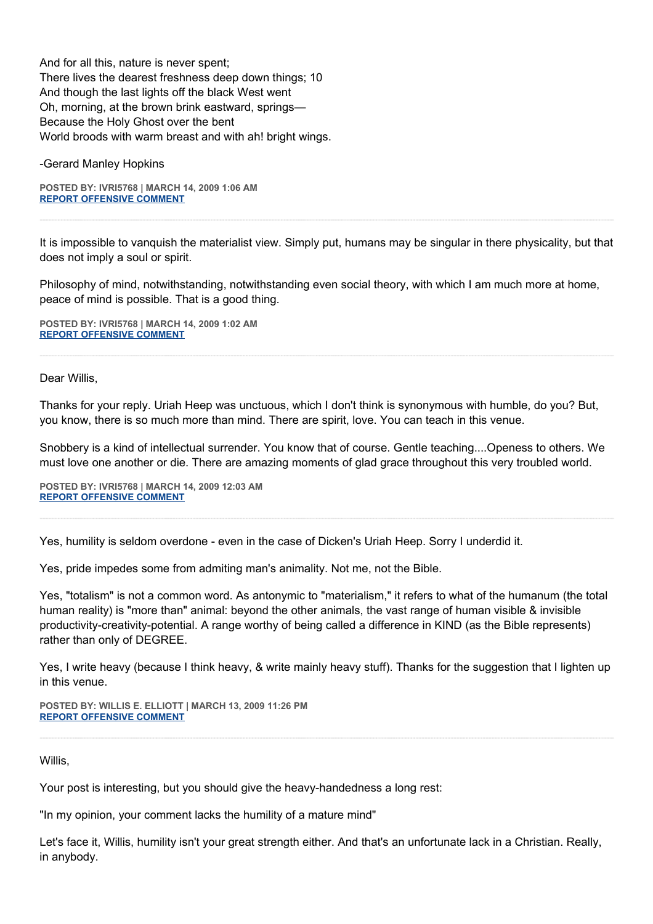And for all this, nature is never spent; There lives the dearest freshness deep down things; 10 And though the last lights off the black West went Oh, morning, at the brown brink eastward, springs— Because the Holy Ghost over the bent World broods with warm breast and with ah! bright wings.

-Gerard Manley Hopkins

**POSTED BY: IVRI5768 | MARCH 14, 2009 1:06 AM [REPORT OFFENSIVE COMMENT](mailto:blogs@washingtonpost.com?subject=On%20Faith%20Panelists%20Blog%20%20%7C%20%20ivri5768%20%20%7C%20%20Stem%20Cell%20Research%20vs.%20Idolatry%20%20%7C%20%204652706&body=%0D%0D%0D%0D%0D================%0D?__mode=view%26_type=comment%26id=4652706%26blog_id=618)**

It is impossible to vanquish the materialist view. Simply put, humans may be singular in there physicality, but that does not imply a soul or spirit.

Philosophy of mind, notwithstanding, notwithstanding even social theory, with which I am much more at home, peace of mind is possible. That is a good thing.

**POSTED BY: IVRI5768 | MARCH 14, 2009 1:02 AM [REPORT OFFENSIVE COMMENT](mailto:blogs@washingtonpost.com?subject=On%20Faith%20Panelists%20Blog%20%20%7C%20%20ivri5768%20%20%7C%20%20Stem%20Cell%20Research%20vs.%20Idolatry%20%20%7C%20%204652705&body=%0D%0D%0D%0D%0D================%0D?__mode=view%26_type=comment%26id=4652705%26blog_id=618)**

Dear Willis,

Thanks for your reply. Uriah Heep was unctuous, which I don't think is synonymous with humble, do you? But, you know, there is so much more than mind. There are spirit, love. You can teach in this venue.

Snobbery is a kind of intellectual surrender. You know that of course. Gentle teaching....Openess to others. We must love one another or die. There are amazing moments of glad grace throughout this very troubled world.

**POSTED BY: IVRI5768 | MARCH 14, 2009 12:03 AM [REPORT OFFENSIVE COMMENT](mailto:blogs@washingtonpost.com?subject=On%20Faith%20Panelists%20Blog%20%20%7C%20%20ivri5768%20%20%7C%20%20Stem%20Cell%20Research%20vs.%20Idolatry%20%20%7C%20%204652703&body=%0D%0D%0D%0D%0D================%0D?__mode=view%26_type=comment%26id=4652703%26blog_id=618)**

Yes, humility is seldom overdone - even in the case of Dicken's Uriah Heep. Sorry I underdid it.

Yes, pride impedes some from admiting man's animality. Not me, not the Bible.

Yes, "totalism" is not a common word. As antonymic to "materialism," it refers to what of the humanum (the total human reality) is "more than" animal: beyond the other animals, the vast range of human visible & invisible productivity-creativity-potential. A range worthy of being called a difference in KIND (as the Bible represents) rather than only of DEGREE.

Yes, I write heavy (because I think heavy, & write mainly heavy stuff). Thanks for the suggestion that I lighten up in this venue.

**POSTED BY: WILLIS E. ELLIOTT | MARCH 13, 2009 11:26 PM [REPORT OFFENSIVE COMMENT](mailto:blogs@washingtonpost.com?subject=On%20Faith%20Panelists%20Blog%20%20%7C%20%20Willis%20E.%20Elliott%20%20%7C%20%20Stem%20Cell%20Research%20vs.%20Idolatry%20%20%7C%20%204652699&body=%0D%0D%0D%0D%0D================%0D?__mode=view%26_type=comment%26id=4652699%26blog_id=618)**

Willis,

Your post is interesting, but you should give the heavy-handedness a long rest:

"In my opinion, your comment lacks the humility of a mature mind"

Let's face it, Willis, humility isn't your great strength either. And that's an unfortunate lack in a Christian. Really, in anybody.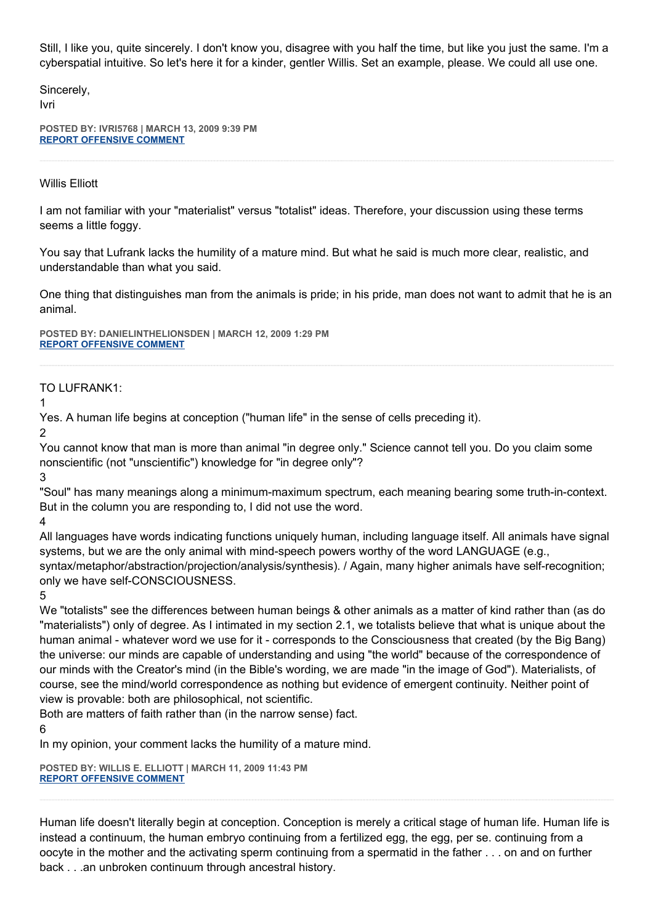Still, I like you, quite sincerely. I don't know you, disagree with you half the time, but like you just the same. I'm a cyberspatial intuitive. So let's here it for a kinder, gentler Willis. Set an example, please. We could all use one.

Sincerely,

Ivri

**POSTED BY: IVRI5768 | MARCH 13, 2009 9:39 PM [REPORT OFFENSIVE COMMENT](mailto:blogs@washingtonpost.com?subject=On%20Faith%20Panelists%20Blog%20%20%7C%20%20ivri5768%20%20%7C%20%20Stem%20Cell%20Research%20vs.%20Idolatry%20%20%7C%20%204652695&body=%0D%0D%0D%0D%0D================%0D?__mode=view%26_type=comment%26id=4652695%26blog_id=618)**

## Willis Elliott

I am not familiar with your "materialist" versus "totalist" ideas. Therefore, your discussion using these terms seems a little foggy.

You say that Lufrank lacks the humility of a mature mind. But what he said is much more clear, realistic, and understandable than what you said.

One thing that distinguishes man from the animals is pride; in his pride, man does not want to admit that he is an animal.

**POSTED BY: DANIELINTHELIONSDEN | MARCH 12, 2009 1:29 PM [REPORT OFFENSIVE COMMENT](mailto:blogs@washingtonpost.com?subject=On%20Faith%20Panelists%20Blog%20%20%7C%20%20DanielintheLionsDen%20%20%7C%20%20Stem%20Cell%20Research%20vs.%20Idolatry%20%20%7C%20%204615984&body=%0D%0D%0D%0D%0D================%0D?__mode=view%26_type=comment%26id=4615984%26blog_id=618)**

TO LUFRANK1:

1

Yes. A human life begins at conception ("human life" in the sense of cells preceding it).

2

You cannot know that man is more than animal "in degree only." Science cannot tell you. Do you claim some nonscientific (not "unscientific") knowledge for "in degree only"?

3

"Soul" has many meanings along a minimum-maximum spectrum, each meaning bearing some truth-in-context. But in the column you are responding to, I did not use the word.

4

All languages have words indicating functions uniquely human, including language itself. All animals have signal systems, but we are the only animal with mind-speech powers worthy of the word LANGUAGE (e.g., syntax/metaphor/abstraction/projection/analysis/synthesis). / Again, many higher animals have self-recognition; only we have self-CONSCIOUSNESS.

5

We "totalists" see the differences between human beings & other animals as a matter of kind rather than (as do "materialists") only of degree. As I intimated in my section 2.1, we totalists believe that what is unique about the human animal - whatever word we use for it - corresponds to the Consciousness that created (by the Big Bang) the universe: our minds are capable of understanding and using "the world" because of the correspondence of our minds with the Creator's mind (in the Bible's wording, we are made "in the image of God"). Materialists, of course, see the mind/world correspondence as nothing but evidence of emergent continuity. Neither point of view is provable: both are philosophical, not scientific.

Both are matters of faith rather than (in the narrow sense) fact.

6

In my opinion, your comment lacks the humility of a mature mind.

**POSTED BY: WILLIS E. ELLIOTT | MARCH 11, 2009 11:43 PM [REPORT OFFENSIVE COMMENT](mailto:blogs@washingtonpost.com?subject=On%20Faith%20Panelists%20Blog%20%20%7C%20%20Willis%20E.%20Elliott%20%20%7C%20%20Stem%20Cell%20Research%20vs.%20Idolatry%20%20%7C%20%204612616&body=%0D%0D%0D%0D%0D================%0D?__mode=view%26_type=comment%26id=4612616%26blog_id=618)**

Human life doesn't literally begin at conception. Conception is merely a critical stage of human life. Human life is instead a continuum, the human embryo continuing from a fertilized egg, the egg, per se. continuing from a oocyte in the mother and the activating sperm continuing from a spermatid in the father . . . on and on further back . . .an unbroken continuum through ancestral history.